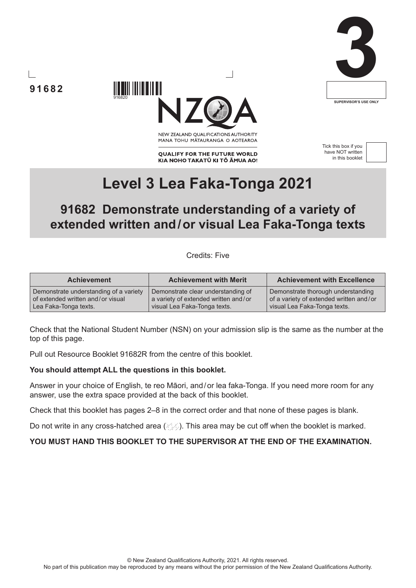





NEW ZEALAND OUALIFICATIONS AUTHORITY MANA TOHU MATAURANGA O AOTEAROA

**QUALIFY FOR THE FUTURE WORLD** KIA NOHO TAKATŪ KI TŌ ĀMUA AO! Tick this box if you have NOT written in this booklet



# **Level 3 Lea Faka-Tonga 2021**

# **91682 Demonstrate understanding of a variety of extended written and/or visual Lea Faka-Tonga texts**

Credits: Five

| <b>Achievement</b>                     | <b>Achievement with Merit</b>        | <b>Achievement with Excellence</b>      |  |
|----------------------------------------|--------------------------------------|-----------------------------------------|--|
| Demonstrate understanding of a variety | Demonstrate clear understanding of   | Demonstrate thorough understanding      |  |
| of extended written and/or visual      | a variety of extended written and/or | of a variety of extended written and/or |  |
| Lea Faka-Tonga texts.                  | visual Lea Faka-Tonga texts.         | visual Lea Faka-Tonga texts.            |  |

Check that the National Student Number (NSN) on your admission slip is the same as the number at the top of this page.

Pull out Resource Booklet 91682R from the centre of this booklet.

### **You should attempt ALL the questions in this booklet.**

916820

Answer in your choice of English, te reo Māori, and/or lea faka-Tonga. If you need more room for any answer, use the extra space provided at the back of this booklet.

Check that this booklet has pages 2–8 in the correct order and that none of these pages is blank.

Do not write in any cross-hatched area  $(\angle\Diamond)$ . This area may be cut off when the booklet is marked.

**YOU MUST HAND THIS BOOKLET TO THE SUPERVISOR AT THE END OF THE EXAMINATION.**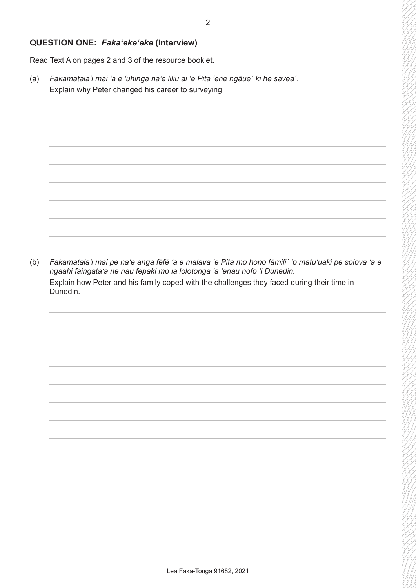## **QUESTION ONE:** *Fakaʻekeʻeke* **(Interview)**

Read Text A on pages 2 and 3 of the resource booklet.

(a) *Fakamatalaʻi mai 'a e 'uhinga naʻe liliu ai 'e Pita 'ene ngāue´ ki he savea´.* Explain why Peter changed his career to surveying.

(b) *Fakamatalaʻi mai pe naʻe anga fēfē 'a e malava 'e Pita mo hono fāmili´ 'o matuʻuaki pe solova 'a e ngaahi faingataʻa ne nau fepaki mo ia lolotonga 'a 'enau nofo 'i Dunedin.* Explain how Peter and his family coped with the challenges they faced during their time in Dunedin.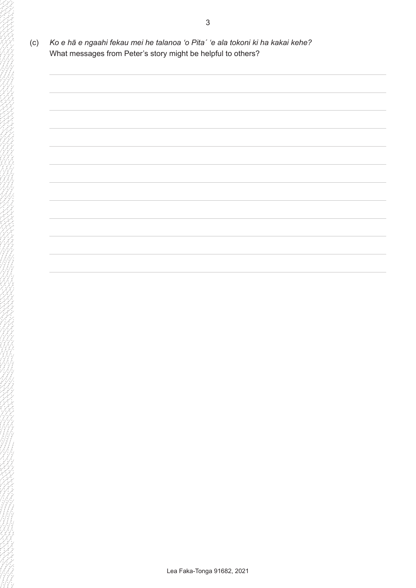(c) *Ko e hā e ngaahi fekau mei he talanoa 'o Pita´ 'e ala tokoni ki ha kakai kehe?* What messages from Peter's story might be helpful to others?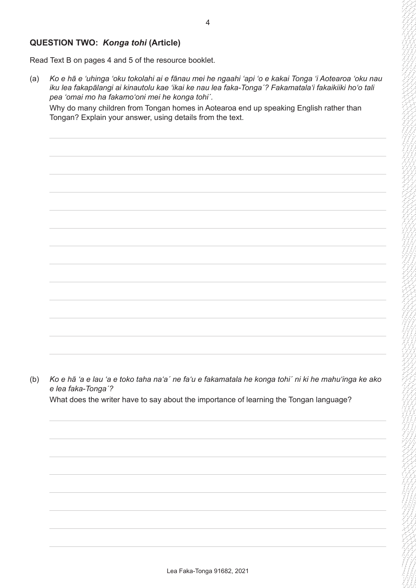## **QUESTION TWO:** *Konga tohi* **(Article)**

Read Text B on pages 4 and 5 of the resource booklet.

(a) *Ko e hā e 'uhinga 'oku tokolahi ai e fānau mei he ngaahi 'api 'o e kakai Tonga 'i Aotearoa 'oku nau iku lea fakapālangi ai kinautolu kae 'ikai ke nau lea faka-Tonga´? Fakamatalaʻi fakaikiiki hoʻo tali pea ʻomai mo ha fakamoʻoni mei he konga tohi´.*

Why do many children from Tongan homes in Aotearoa end up speaking English rather than Tongan? Explain your answer, using details from the text.

(b) *Ko e hā 'a e lau 'a e toko taha naʻa´ ne faʻu e fakamatala he konga tohi´ ni ki he mahuʻinga ke ako e lea faka-Tonga´?*

What does the writer have to say about the importance of learning the Tongan language?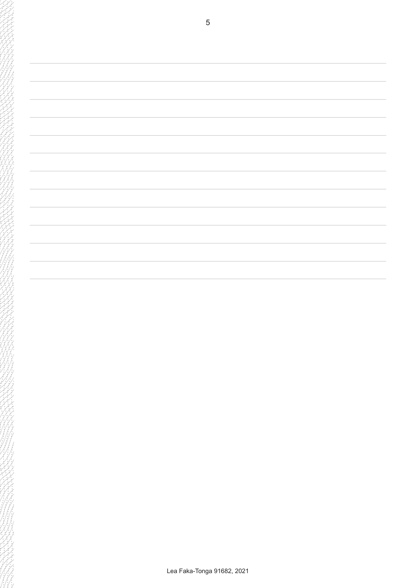|  | $\sqrt{5}$ |  |
|--|------------|--|
|  |            |  |
|  |            |  |
|  |            |  |
|  |            |  |
|  |            |  |
|  |            |  |
|  |            |  |
|  |            |  |
|  |            |  |
|  |            |  |
|  |            |  |
|  |            |  |
|  |            |  |
|  |            |  |
|  |            |  |
|  |            |  |
|  |            |  |
|  |            |  |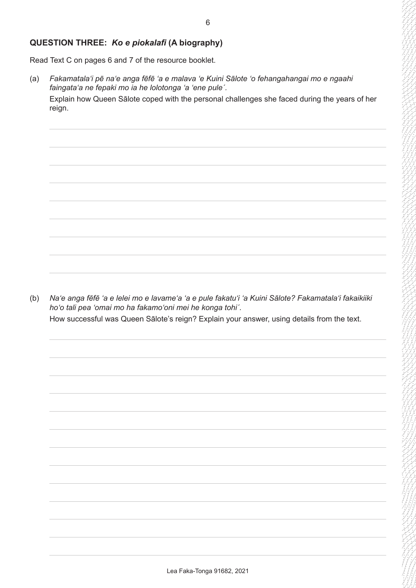#### **QUESTION THREE:** *Ko e piokalafi* **(A biography)**

Read Text C on pages 6 and 7 of the resource booklet.

(a) *Fakamatalaʻi pē naʻe anga fēfē 'a e malava 'e Kuini Sālote 'o fehangahangai mo e ngaahi faingataʻa ne fepaki mo ia he lolotonga 'a 'ene pule´.* Explain how Queen Sālote coped with the personal challenges she faced during the years of her reign.

(b) *Naʻe anga fēfē 'a e lelei mo e lavameʻa 'a e pule fakatuʻi 'a Kuini Sālote? Fakamatalaʻi fakaikiiki hoʻo tali pea ʻomai mo ha fakamoʻoni mei he konga tohi´.* How successful was Queen Sālote's reign? Explain your answer, using details from the text.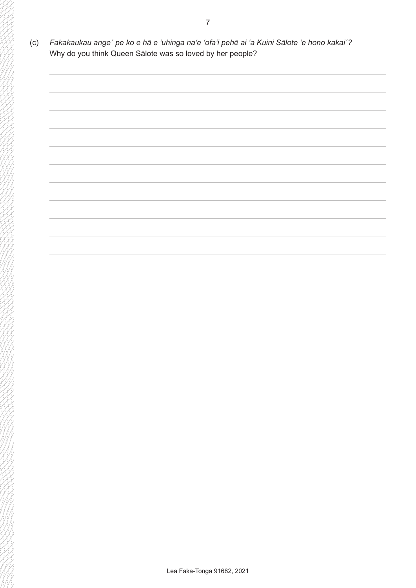(c) *Fakakaukau ange´ pe ko e hā e 'uhinga naʻe ʻofaʻi pehē ai 'a Kuini Sālote 'e hono kakai´?* Why do you think Queen Sālote was so loved by her people?